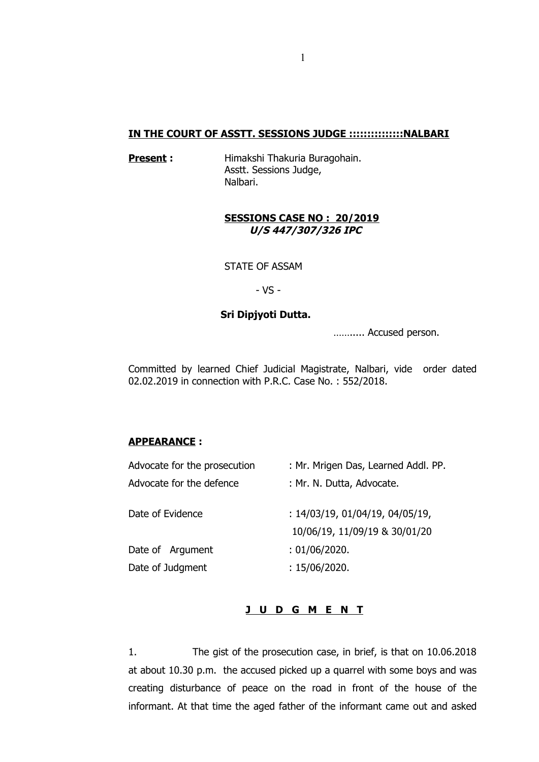### **IN THE COURT OF ASSTT. SESSIONS JUDGE :::::::::::::::NALBARI**

**Present :** Himakshi Thakuria Buragohain. Asstt. Sessions Judge, Nalbari.

## **SESSIONS CASE NO : 20/2019 U/S 447/307/326 IPC**

STATE OF ASSAM

- VS -

## **Sri Dipjyoti Dutta.**

……..... Accused person.

Committed by learned Chief Judicial Magistrate, Nalbari, vide order dated 02.02.2019 in connection with P.R.C. Case No. : 552/2018.

## **APPEARANCE :**

| Advocate for the prosecution | : Mr. Mrigen Das, Learned Addl. PP.                              |
|------------------------------|------------------------------------------------------------------|
| Advocate for the defence     | : Mr. N. Dutta, Advocate.                                        |
| Date of Evidence             | : 14/03/19, 01/04/19, 04/05/19,<br>10/06/19, 11/09/19 & 30/01/20 |
| Date of Argument             | : 01/06/2020.                                                    |
| Date of Judgment             | : 15/06/2020.                                                    |
|                              |                                                                  |

## **J U D G M E N T**

1. The gist of the prosecution case, in brief, is that on 10.06.2018 at about 10.30 p.m. the accused picked up a quarrel with some boys and was creating disturbance of peace on the road in front of the house of the informant. At that time the aged father of the informant came out and asked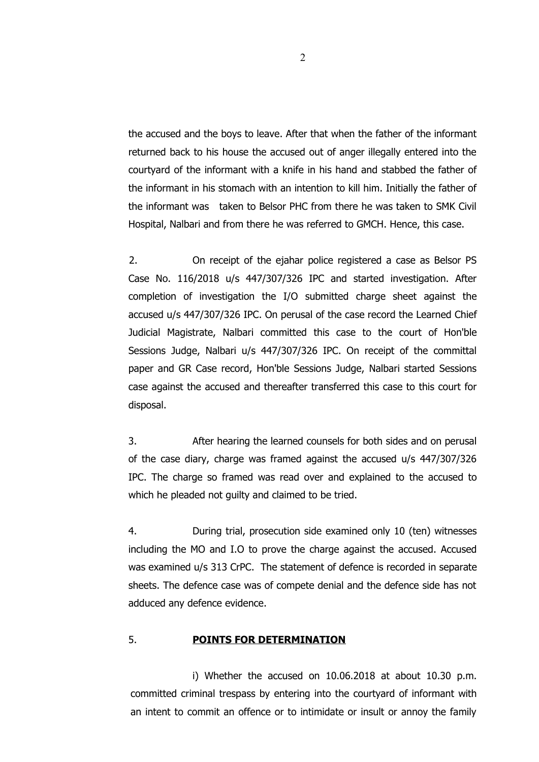the accused and the boys to leave. After that when the father of the informant returned back to his house the accused out of anger illegally entered into the courtyard of the informant with a knife in his hand and stabbed the father of the informant in his stomach with an intention to kill him. Initially the father of the informant was taken to Belsor PHC from there he was taken to SMK Civil Hospital, Nalbari and from there he was referred to GMCH. Hence, this case.

2. On receipt of the ejahar police registered a case as Belsor PS Case No. 116/2018 u/s 447/307/326 IPC and started investigation. After completion of investigation the I/O submitted charge sheet against the accused u/s 447/307/326 IPC. On perusal of the case record the Learned Chief Judicial Magistrate, Nalbari committed this case to the court of Hon'ble Sessions Judge, Nalbari u/s 447/307/326 IPC. On receipt of the committal paper and GR Case record, Hon'ble Sessions Judge, Nalbari started Sessions case against the accused and thereafter transferred this case to this court for disposal.

3. After hearing the learned counsels for both sides and on perusal of the case diary, charge was framed against the accused u/s 447/307/326 IPC. The charge so framed was read over and explained to the accused to which he pleaded not quilty and claimed to be tried.

4. During trial, prosecution side examined only 10 (ten) witnesses including the MO and I.O to prove the charge against the accused. Accused was examined u/s 313 CrPC. The statement of defence is recorded in separate sheets. The defence case was of compete denial and the defence side has not adduced any defence evidence.

# 5. **POINTS FOR DETERMINATION**

i) Whether the accused on 10.06.2018 at about 10.30 p.m. committed criminal trespass by entering into the courtyard of informant with an intent to commit an offence or to intimidate or insult or annoy the family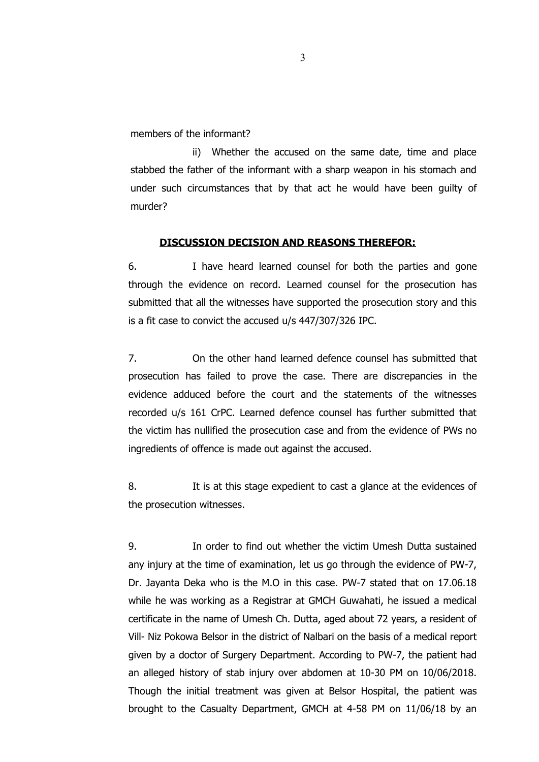members of the informant?

ii) Whether the accused on the same date, time and place stabbed the father of the informant with a sharp weapon in his stomach and under such circumstances that by that act he would have been guilty of murder?

#### **DISCUSSION DECISION AND REASONS THEREFOR:**

6. I have heard learned counsel for both the parties and gone through the evidence on record. Learned counsel for the prosecution has submitted that all the witnesses have supported the prosecution story and this is a fit case to convict the accused u/s 447/307/326 IPC.

7. On the other hand learned defence counsel has submitted that prosecution has failed to prove the case. There are discrepancies in the evidence adduced before the court and the statements of the witnesses recorded u/s 161 CrPC. Learned defence counsel has further submitted that the victim has nullified the prosecution case and from the evidence of PWs no ingredients of offence is made out against the accused.

8. It is at this stage expedient to cast a glance at the evidences of the prosecution witnesses.

9. In order to find out whether the victim Umesh Dutta sustained any injury at the time of examination, let us go through the evidence of PW-7, Dr. Jayanta Deka who is the M.O in this case. PW-7 stated that on 17.06.18 while he was working as a Registrar at GMCH Guwahati, he issued a medical certificate in the name of Umesh Ch. Dutta, aged about 72 years, a resident of Vill- Niz Pokowa Belsor in the district of Nalbari on the basis of a medical report given by a doctor of Surgery Department. According to PW-7, the patient had an alleged history of stab injury over abdomen at 10-30 PM on 10/06/2018. Though the initial treatment was given at Belsor Hospital, the patient was brought to the Casualty Department, GMCH at 4-58 PM on 11/06/18 by an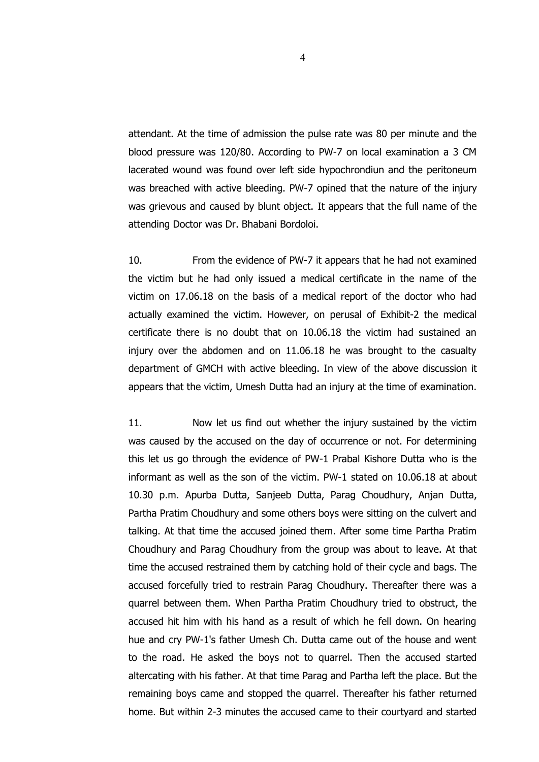attendant. At the time of admission the pulse rate was 80 per minute and the blood pressure was 120/80. According to PW-7 on local examination a 3 CM lacerated wound was found over left side hypochrondiun and the peritoneum was breached with active bleeding. PW-7 opined that the nature of the injury was grievous and caused by blunt object. It appears that the full name of the attending Doctor was Dr. Bhabani Bordoloi.

10. From the evidence of PW-7 it appears that he had not examined the victim but he had only issued a medical certificate in the name of the victim on 17.06.18 on the basis of a medical report of the doctor who had actually examined the victim. However, on perusal of Exhibit-2 the medical certificate there is no doubt that on 10.06.18 the victim had sustained an injury over the abdomen and on 11.06.18 he was brought to the casualty department of GMCH with active bleeding. In view of the above discussion it appears that the victim, Umesh Dutta had an injury at the time of examination.

11. Now let us find out whether the injury sustained by the victim was caused by the accused on the day of occurrence or not. For determining this let us go through the evidence of PW-1 Prabal Kishore Dutta who is the informant as well as the son of the victim. PW-1 stated on 10.06.18 at about 10.30 p.m. Apurba Dutta, Sanjeeb Dutta, Parag Choudhury, Anjan Dutta, Partha Pratim Choudhury and some others boys were sitting on the culvert and talking. At that time the accused joined them. After some time Partha Pratim Choudhury and Parag Choudhury from the group was about to leave. At that time the accused restrained them by catching hold of their cycle and bags. The accused forcefully tried to restrain Parag Choudhury. Thereafter there was a quarrel between them. When Partha Pratim Choudhury tried to obstruct, the accused hit him with his hand as a result of which he fell down. On hearing hue and cry PW-1's father Umesh Ch. Dutta came out of the house and went to the road. He asked the boys not to quarrel. Then the accused started altercating with his father. At that time Parag and Partha left the place. But the remaining boys came and stopped the quarrel. Thereafter his father returned home. But within 2-3 minutes the accused came to their courtyard and started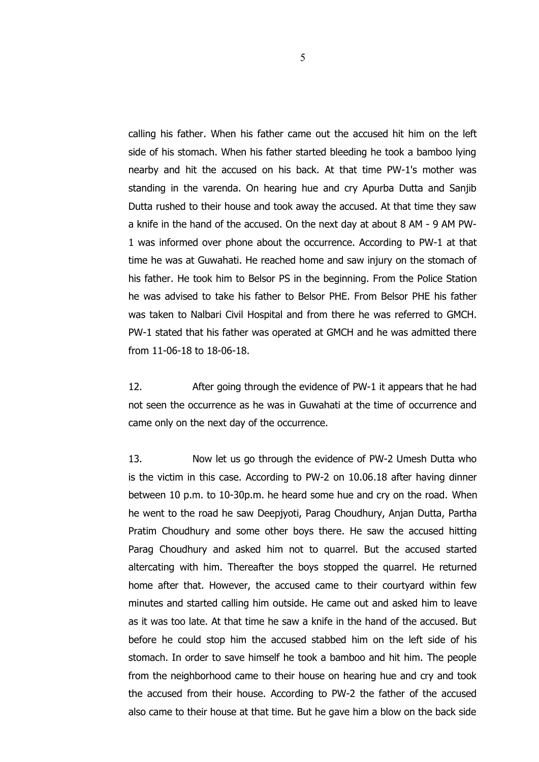calling his father. When his father came out the accused hit him on the left side of his stomach. When his father started bleeding he took a bamboo lying nearby and hit the accused on his back. At that time PW-1's mother was standing in the varenda. On hearing hue and cry Apurba Dutta and Sanjib Dutta rushed to their house and took away the accused. At that time they saw a knife in the hand of the accused. On the next day at about 8 AM - 9 AM PW-1 was informed over phone about the occurrence. According to PW-1 at that time he was at Guwahati. He reached home and saw injury on the stomach of his father. He took him to Belsor PS in the beginning. From the Police Station he was advised to take his father to Belsor PHE. From Belsor PHE his father was taken to Nalbari Civil Hospital and from there he was referred to GMCH. PW-1 stated that his father was operated at GMCH and he was admitted there from 11-06-18 to 18-06-18.

12. After going through the evidence of PW-1 it appears that he had not seen the occurrence as he was in Guwahati at the time of occurrence and came only on the next day of the occurrence.

13. Now let us go through the evidence of PW-2 Umesh Dutta who is the victim in this case. According to PW-2 on 10.06.18 after having dinner between 10 p.m. to 10-30p.m. he heard some hue and cry on the road. When he went to the road he saw Deepjyoti, Parag Choudhury, Anjan Dutta, Partha Pratim Choudhury and some other boys there. He saw the accused hitting Parag Choudhury and asked him not to quarrel. But the accused started altercating with him. Thereafter the boys stopped the quarrel. He returned home after that. However, the accused came to their courtyard within few minutes and started calling him outside. He came out and asked him to leave as it was too late. At that time he saw a knife in the hand of the accused. But before he could stop him the accused stabbed him on the left side of his stomach. In order to save himself he took a bamboo and hit him. The people from the neighborhood came to their house on hearing hue and cry and took the accused from their house. According to PW-2 the father of the accused also came to their house at that time. But he gave him a blow on the back side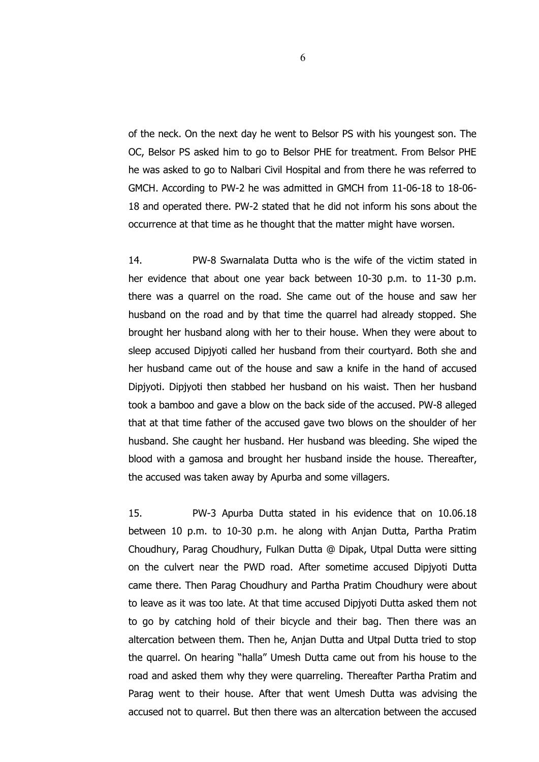of the neck. On the next day he went to Belsor PS with his youngest son. The OC, Belsor PS asked him to go to Belsor PHE for treatment. From Belsor PHE he was asked to go to Nalbari Civil Hospital and from there he was referred to GMCH. According to PW-2 he was admitted in GMCH from 11-06-18 to 18-06- 18 and operated there. PW-2 stated that he did not inform his sons about the occurrence at that time as he thought that the matter might have worsen.

14. PW-8 Swarnalata Dutta who is the wife of the victim stated in her evidence that about one year back between 10-30 p.m. to 11-30 p.m. there was a quarrel on the road. She came out of the house and saw her husband on the road and by that time the quarrel had already stopped. She brought her husband along with her to their house. When they were about to sleep accused Dipjyoti called her husband from their courtyard. Both she and her husband came out of the house and saw a knife in the hand of accused Dipjyoti. Dipjyoti then stabbed her husband on his waist. Then her husband took a bamboo and gave a blow on the back side of the accused. PW-8 alleged that at that time father of the accused gave two blows on the shoulder of her husband. She caught her husband. Her husband was bleeding. She wiped the blood with a gamosa and brought her husband inside the house. Thereafter, the accused was taken away by Apurba and some villagers.

15. PW-3 Apurba Dutta stated in his evidence that on 10.06.18 between 10 p.m. to 10-30 p.m. he along with Anjan Dutta, Partha Pratim Choudhury, Parag Choudhury, Fulkan Dutta @ Dipak, Utpal Dutta were sitting on the culvert near the PWD road. After sometime accused Dipjyoti Dutta came there. Then Parag Choudhury and Partha Pratim Choudhury were about to leave as it was too late. At that time accused Dipjyoti Dutta asked them not to go by catching hold of their bicycle and their bag. Then there was an altercation between them. Then he, Anjan Dutta and Utpal Dutta tried to stop the quarrel. On hearing "halla" Umesh Dutta came out from his house to the road and asked them why they were quarreling. Thereafter Partha Pratim and Parag went to their house. After that went Umesh Dutta was advising the accused not to quarrel. But then there was an altercation between the accused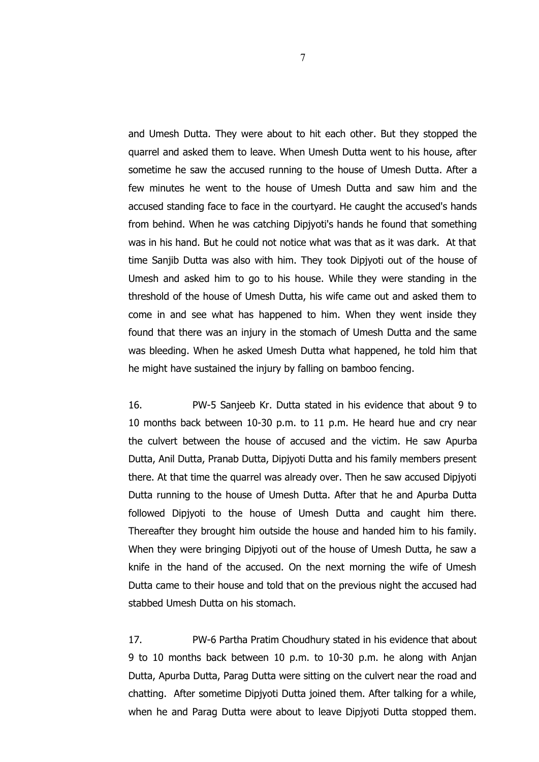and Umesh Dutta. They were about to hit each other. But they stopped the quarrel and asked them to leave. When Umesh Dutta went to his house, after sometime he saw the accused running to the house of Umesh Dutta. After a few minutes he went to the house of Umesh Dutta and saw him and the accused standing face to face in the courtyard. He caught the accused's hands from behind. When he was catching Dipjyoti's hands he found that something was in his hand. But he could not notice what was that as it was dark. At that time Sanjib Dutta was also with him. They took Dipjyoti out of the house of Umesh and asked him to go to his house. While they were standing in the threshold of the house of Umesh Dutta, his wife came out and asked them to come in and see what has happened to him. When they went inside they found that there was an injury in the stomach of Umesh Dutta and the same was bleeding. When he asked Umesh Dutta what happened, he told him that he might have sustained the injury by falling on bamboo fencing.

16. PW-5 Sanjeeb Kr. Dutta stated in his evidence that about 9 to 10 months back between 10-30 p.m. to 11 p.m. He heard hue and cry near the culvert between the house of accused and the victim. He saw Apurba Dutta, Anil Dutta, Pranab Dutta, Dipjyoti Dutta and his family members present there. At that time the quarrel was already over. Then he saw accused Dipjyoti Dutta running to the house of Umesh Dutta. After that he and Apurba Dutta followed Dipjyoti to the house of Umesh Dutta and caught him there. Thereafter they brought him outside the house and handed him to his family. When they were bringing Dipjyoti out of the house of Umesh Dutta, he saw a knife in the hand of the accused. On the next morning the wife of Umesh Dutta came to their house and told that on the previous night the accused had stabbed Umesh Dutta on his stomach.

17. PW-6 Partha Pratim Choudhury stated in his evidence that about 9 to 10 months back between 10 p.m. to 10-30 p.m. he along with Anjan Dutta, Apurba Dutta, Parag Dutta were sitting on the culvert near the road and chatting. After sometime Dipjyoti Dutta joined them. After talking for a while, when he and Parag Dutta were about to leave Dipjyoti Dutta stopped them.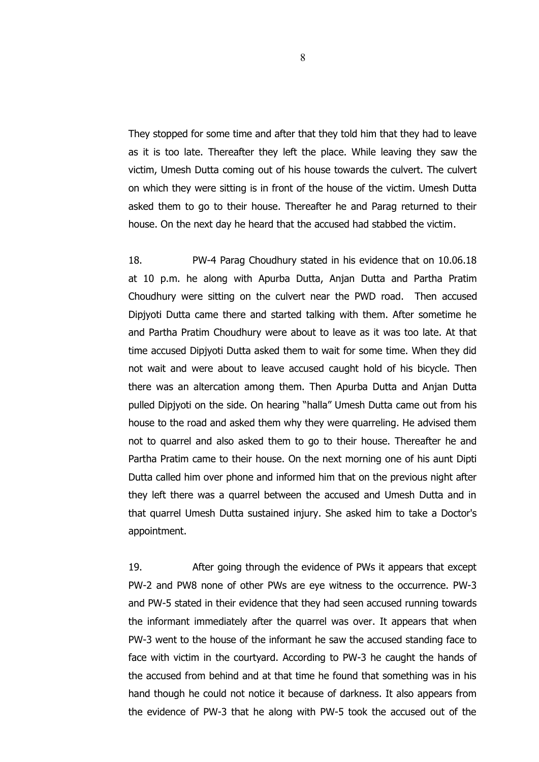They stopped for some time and after that they told him that they had to leave as it is too late. Thereafter they left the place. While leaving they saw the victim, Umesh Dutta coming out of his house towards the culvert. The culvert on which they were sitting is in front of the house of the victim. Umesh Dutta asked them to go to their house. Thereafter he and Parag returned to their house. On the next day he heard that the accused had stabbed the victim.

18. PW-4 Parag Choudhury stated in his evidence that on 10.06.18 at 10 p.m. he along with Apurba Dutta, Anjan Dutta and Partha Pratim Choudhury were sitting on the culvert near the PWD road. Then accused Dipjyoti Dutta came there and started talking with them. After sometime he and Partha Pratim Choudhury were about to leave as it was too late. At that time accused Dipjyoti Dutta asked them to wait for some time. When they did not wait and were about to leave accused caught hold of his bicycle. Then there was an altercation among them. Then Apurba Dutta and Anjan Dutta pulled Dipjyoti on the side. On hearing "halla" Umesh Dutta came out from his house to the road and asked them why they were quarreling. He advised them not to quarrel and also asked them to go to their house. Thereafter he and Partha Pratim came to their house. On the next morning one of his aunt Dipti Dutta called him over phone and informed him that on the previous night after they left there was a quarrel between the accused and Umesh Dutta and in that quarrel Umesh Dutta sustained injury. She asked him to take a Doctor's appointment.

19. After going through the evidence of PWs it appears that except PW-2 and PW8 none of other PWs are eye witness to the occurrence. PW-3 and PW-5 stated in their evidence that they had seen accused running towards the informant immediately after the quarrel was over. It appears that when PW-3 went to the house of the informant he saw the accused standing face to face with victim in the courtyard. According to PW-3 he caught the hands of the accused from behind and at that time he found that something was in his hand though he could not notice it because of darkness. It also appears from the evidence of PW-3 that he along with PW-5 took the accused out of the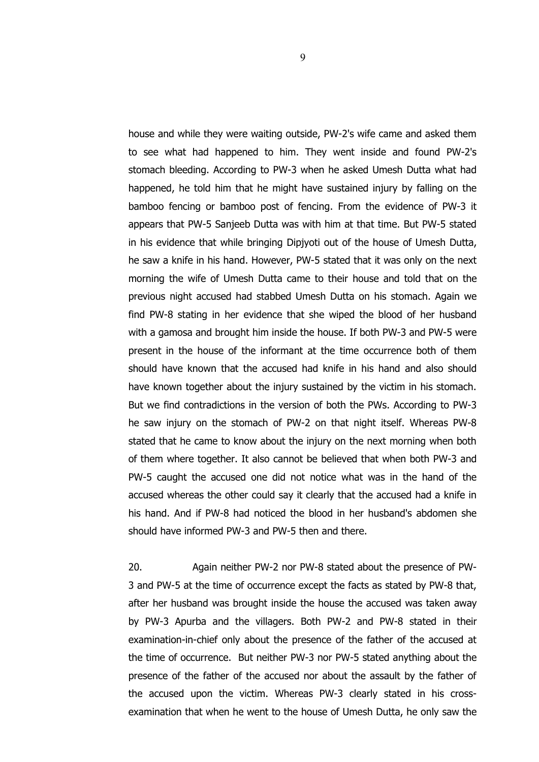house and while they were waiting outside, PW-2's wife came and asked them to see what had happened to him. They went inside and found PW-2's stomach bleeding. According to PW-3 when he asked Umesh Dutta what had happened, he told him that he might have sustained injury by falling on the bamboo fencing or bamboo post of fencing. From the evidence of PW-3 it appears that PW-5 Sanjeeb Dutta was with him at that time. But PW-5 stated in his evidence that while bringing Dipjyoti out of the house of Umesh Dutta, he saw a knife in his hand. However, PW-5 stated that it was only on the next morning the wife of Umesh Dutta came to their house and told that on the previous night accused had stabbed Umesh Dutta on his stomach. Again we find PW-8 stating in her evidence that she wiped the blood of her husband with a gamosa and brought him inside the house. If both PW-3 and PW-5 were present in the house of the informant at the time occurrence both of them should have known that the accused had knife in his hand and also should have known together about the injury sustained by the victim in his stomach. But we find contradictions in the version of both the PWs. According to PW-3 he saw injury on the stomach of PW-2 on that night itself. Whereas PW-8 stated that he came to know about the injury on the next morning when both of them where together. It also cannot be believed that when both PW-3 and PW-5 caught the accused one did not notice what was in the hand of the accused whereas the other could say it clearly that the accused had a knife in his hand. And if PW-8 had noticed the blood in her husband's abdomen she should have informed PW-3 and PW-5 then and there.

20. Again neither PW-2 nor PW-8 stated about the presence of PW-3 and PW-5 at the time of occurrence except the facts as stated by PW-8 that, after her husband was brought inside the house the accused was taken away by PW-3 Apurba and the villagers. Both PW-2 and PW-8 stated in their examination-in-chief only about the presence of the father of the accused at the time of occurrence. But neither PW-3 nor PW-5 stated anything about the presence of the father of the accused nor about the assault by the father of the accused upon the victim. Whereas PW-3 clearly stated in his crossexamination that when he went to the house of Umesh Dutta, he only saw the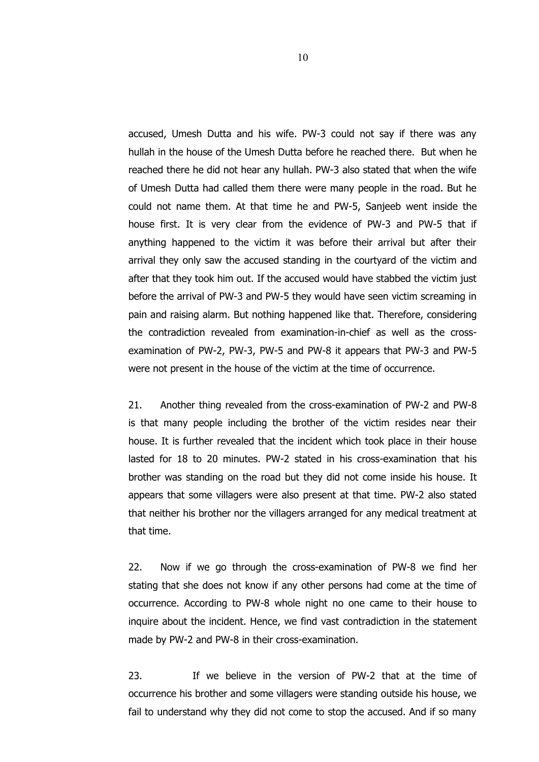accused, Umesh Dutta and his wife. PW-3 could not say if there was any hullah in the house of the Umesh Dutta before he reached there. But when he reached there he did not hear any hullah. PW-3 also stated that when the wife of Umesh Dutta had called them there were many people in the road. But he could not name them. At that time he and PW-5, Sanjeeb went inside the house first. It is very clear from the evidence of PW-3 and PW-5 that if anything happened to the victim it was before their arrival but after their arrival they only saw the accused standing in the courtyard of the victim and after that they took him out. If the accused would have stabbed the victim just before the arrival of PW-3 and PW-5 they would have seen victim screaming in pain and raising alarm. But nothing happened like that. Therefore, considering the contradiction revealed from examination-in-chief as well as the crossexamination of PW-2, PW-3, PW-5 and PW-8 it appears that PW-3 and PW-5 were not present in the house of the victim at the time of occurrence.

21. Another thing revealed from the cross-examination of PW-2 and PW-8 is that many people including the brother of the victim resides near their house. It is further revealed that the incident which took place in their house lasted for 18 to 20 minutes. PW-2 stated in his cross-examination that his brother was standing on the road but they did not come inside his house. It appears that some villagers were also present at that time. PW-2 also stated that neither his brother nor the villagers arranged for any medical treatment at that time.

22. Now if we go through the cross-examination of PW-8 we find her stating that she does not know if any other persons had come at the time of occurrence. According to PW-8 whole night no one came to their house to inquire about the incident. Hence, we find vast contradiction in the statement made by PW-2 and PW-8 in their cross-examination.

23. If we believe in the version of PW-2 that at the time of occurrence his brother and some villagers were standing outside his house, we fail to understand why they did not come to stop the accused. And if so many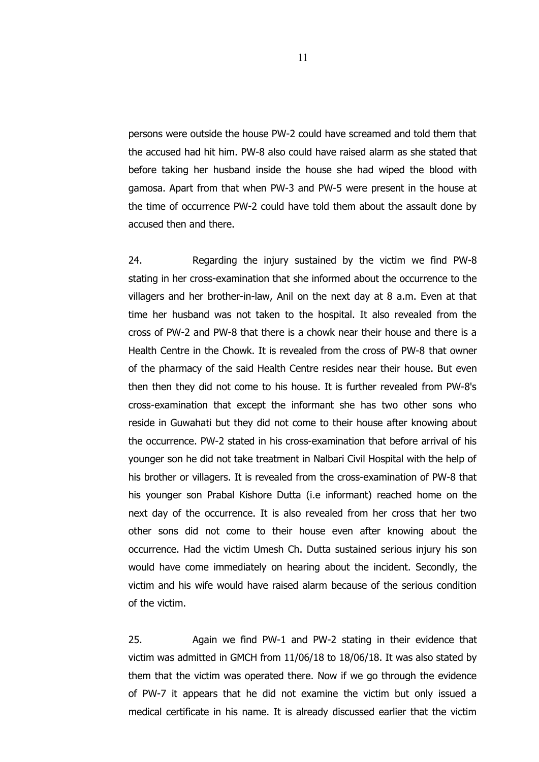persons were outside the house PW-2 could have screamed and told them that the accused had hit him. PW-8 also could have raised alarm as she stated that before taking her husband inside the house she had wiped the blood with gamosa. Apart from that when PW-3 and PW-5 were present in the house at the time of occurrence PW-2 could have told them about the assault done by accused then and there.

24. Regarding the injury sustained by the victim we find PW-8 stating in her cross-examination that she informed about the occurrence to the villagers and her brother-in-law, Anil on the next day at 8 a.m. Even at that time her husband was not taken to the hospital. It also revealed from the cross of PW-2 and PW-8 that there is a chowk near their house and there is a Health Centre in the Chowk. It is revealed from the cross of PW-8 that owner of the pharmacy of the said Health Centre resides near their house. But even then then they did not come to his house. It is further revealed from PW-8's cross-examination that except the informant she has two other sons who reside in Guwahati but they did not come to their house after knowing about the occurrence. PW-2 stated in his cross-examination that before arrival of his younger son he did not take treatment in Nalbari Civil Hospital with the help of his brother or villagers. It is revealed from the cross-examination of PW-8 that his younger son Prabal Kishore Dutta (i.e informant) reached home on the next day of the occurrence. It is also revealed from her cross that her two other sons did not come to their house even after knowing about the occurrence. Had the victim Umesh Ch. Dutta sustained serious injury his son would have come immediately on hearing about the incident. Secondly, the victim and his wife would have raised alarm because of the serious condition of the victim.

25. Again we find PW-1 and PW-2 stating in their evidence that victim was admitted in GMCH from 11/06/18 to 18/06/18. It was also stated by them that the victim was operated there. Now if we go through the evidence of PW-7 it appears that he did not examine the victim but only issued a medical certificate in his name. It is already discussed earlier that the victim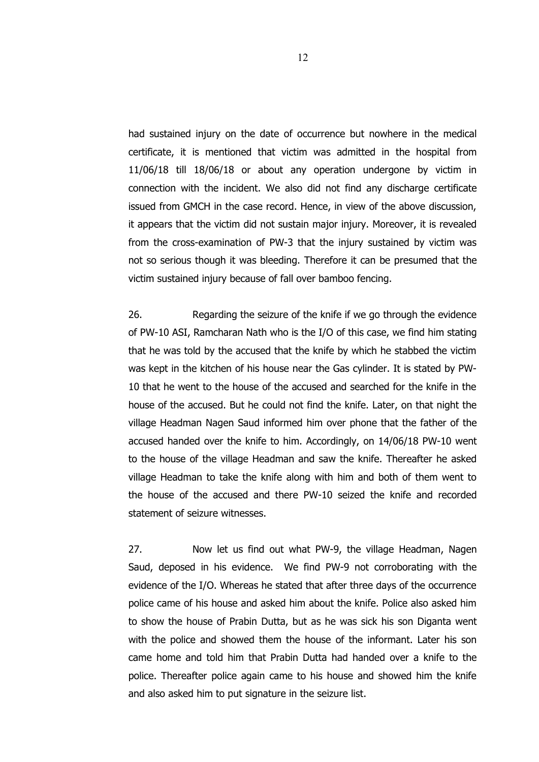had sustained injury on the date of occurrence but nowhere in the medical certificate, it is mentioned that victim was admitted in the hospital from 11/06/18 till 18/06/18 or about any operation undergone by victim in connection with the incident. We also did not find any discharge certificate issued from GMCH in the case record. Hence, in view of the above discussion, it appears that the victim did not sustain major injury. Moreover, it is revealed from the cross-examination of PW-3 that the injury sustained by victim was not so serious though it was bleeding. Therefore it can be presumed that the victim sustained injury because of fall over bamboo fencing.

26. Regarding the seizure of the knife if we go through the evidence of PW-10 ASI, Ramcharan Nath who is the I/O of this case, we find him stating that he was told by the accused that the knife by which he stabbed the victim was kept in the kitchen of his house near the Gas cylinder. It is stated by PW-10 that he went to the house of the accused and searched for the knife in the house of the accused. But he could not find the knife. Later, on that night the village Headman Nagen Saud informed him over phone that the father of the accused handed over the knife to him. Accordingly, on 14/06/18 PW-10 went to the house of the village Headman and saw the knife. Thereafter he asked village Headman to take the knife along with him and both of them went to the house of the accused and there PW-10 seized the knife and recorded statement of seizure witnesses.

27. Now let us find out what PW-9, the village Headman, Nagen Saud, deposed in his evidence. We find PW-9 not corroborating with the evidence of the I/O. Whereas he stated that after three days of the occurrence police came of his house and asked him about the knife. Police also asked him to show the house of Prabin Dutta, but as he was sick his son Diganta went with the police and showed them the house of the informant. Later his son came home and told him that Prabin Dutta had handed over a knife to the police. Thereafter police again came to his house and showed him the knife and also asked him to put signature in the seizure list.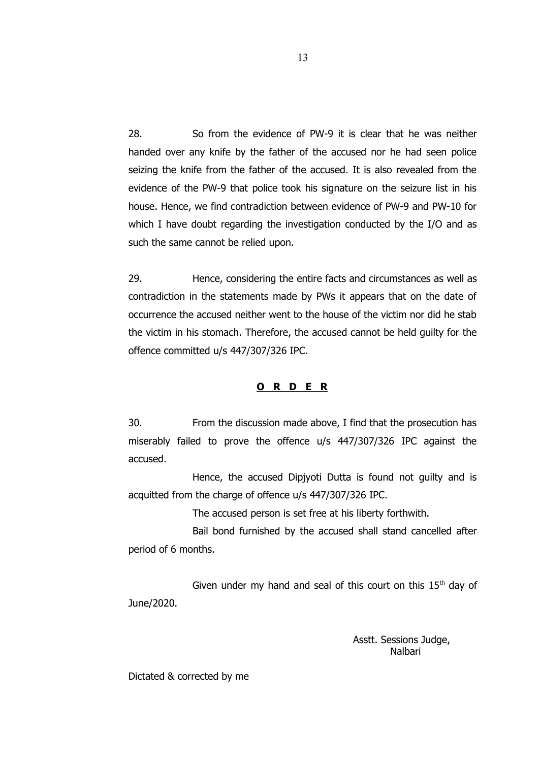28. So from the evidence of PW-9 it is clear that he was neither handed over any knife by the father of the accused nor he had seen police seizing the knife from the father of the accused. It is also revealed from the evidence of the PW-9 that police took his signature on the seizure list in his house. Hence, we find contradiction between evidence of PW-9 and PW-10 for which I have doubt regarding the investigation conducted by the I/O and as such the same cannot be relied upon.

29. Hence, considering the entire facts and circumstances as well as contradiction in the statements made by PWs it appears that on the date of occurrence the accused neither went to the house of the victim nor did he stab the victim in his stomach. Therefore, the accused cannot be held guilty for the offence committed u/s 447/307/326 IPC.

## **O R D E R**

30. From the discussion made above, I find that the prosecution has miserably failed to prove the offence u/s 447/307/326 IPC against the accused.

Hence, the accused Dipjyoti Dutta is found not guilty and is acquitted from the charge of offence u/s 447/307/326 IPC.

The accused person is set free at his liberty forthwith.

Bail bond furnished by the accused shall stand cancelled after period of 6 months.

Given under my hand and seal of this court on this  $15<sup>th</sup>$  day of June/2020.

> Asstt. Sessions Judge, Nalbari

Dictated & corrected by me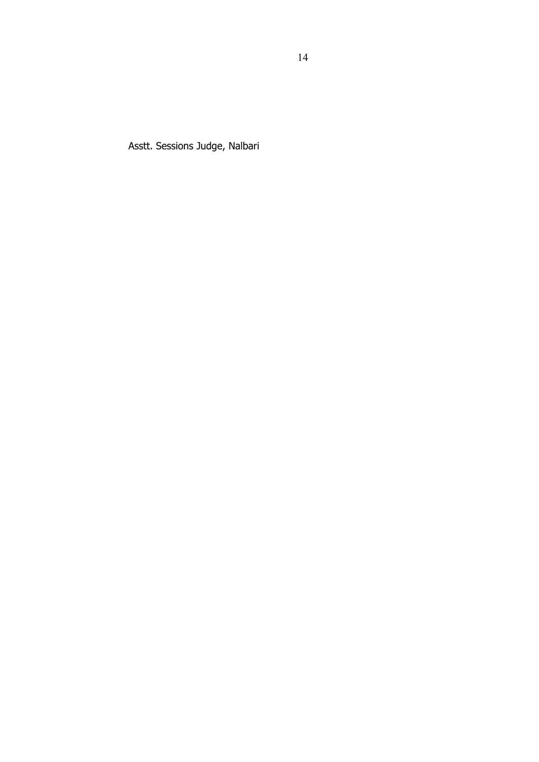Asstt. Sessions Judge, Nalbari